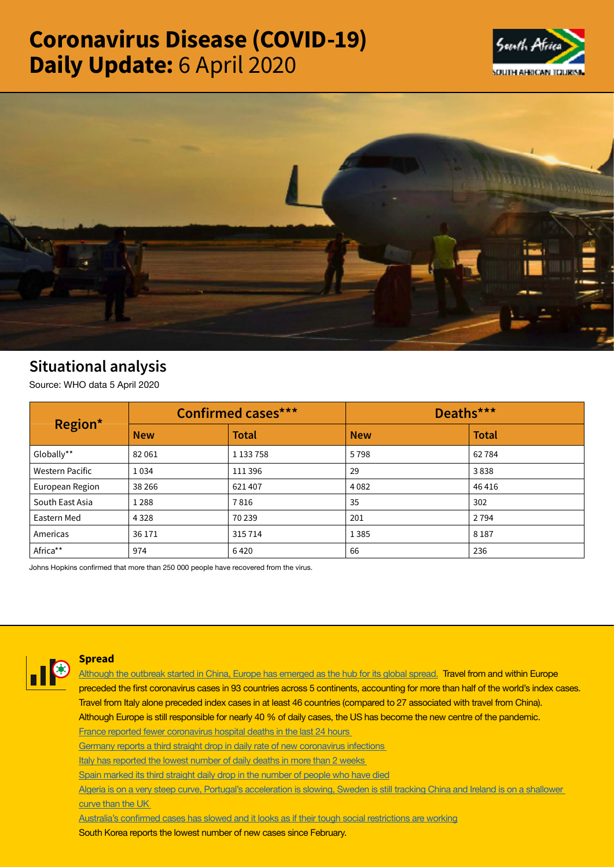# Coronavirus Disease (COVID-19) Daily Update: 6 April 2020





# Situational analysis

Source: WHO data 5 April 2020

| Region*                | <b>Confirmed cases***</b> |              | Deaths***  |              |
|------------------------|---------------------------|--------------|------------|--------------|
|                        | <b>New</b>                | <b>Total</b> | <b>New</b> | <b>Total</b> |
| Globally**             | 82061                     | 1 133 758    | 5798       | 62784        |
| <b>Western Pacific</b> | 1034                      | 111 396      | 29         | 3838         |
| European Region        | 38 2 66                   | 621407       | 4082       | 46416        |
| South East Asia        | 1 2 8 8                   | 7816         | 35         | 302          |
| Eastern Med            | 4 3 2 8                   | 70 239       | 201        | 2 7 9 4      |
| Americas               | 36 171                    | 315714       | 1385       | 8 1 8 7      |
| Africa**               | 974                       | 6420         | 66         | 236          |

Johns Hopkins confirmed that more than 250 000 people have recovered from the virus.



### **Spread**

**[Although the outbreak started in China, Europe has emerged as the hub for its global spread.](https://t.co/vjmGHMQuFb?amp=1) Travel from and within Europe preceded the first coronavirus cases in 93 countries across 5 continents, accounting for more than half of the world's index cases. Travel from Italy alone preceded index cases in at least 46 countries (compared to 27 associated with travel from China). Although Europe is still responsible for nearly 40 % of daily cases, the US has become the new centre of the pandemic. [France reported fewer coronavirus hospital deaths in the last 24 hours](https://t.co/qltK5kIxX1?amp=1)** 

**[Germany reports a third straight drop in daily rate of new coronavirus infections](https://t.co/uCaOuasioE?amp=1)** 

**[Italy has reported the lowest number of daily deaths in more than 2 weeks](https://t.co/ACTvkkQ0g2?amp=1)** 

**[Spain marked its third straight daily drop in the number of people who have died](https://t.co/5tN8WlEyej?amp=1)**

**[Algeria is on a very steep curve, Portugal's acceleration is slowing, Sweden is still tracking China and Ireland is on a shallower](https://t.co/JxVd2cG7KI?amp=1)  [curve than the UK](https://t.co/JxVd2cG7KI?amp=1)** 

**[Australia's confirmed cases has slowed and it looks as if their tough social restrictions are working](https://t.co/ki4hFQ95ki?amp=1)**

**South Korea reports the lowest number of new cases since February.**